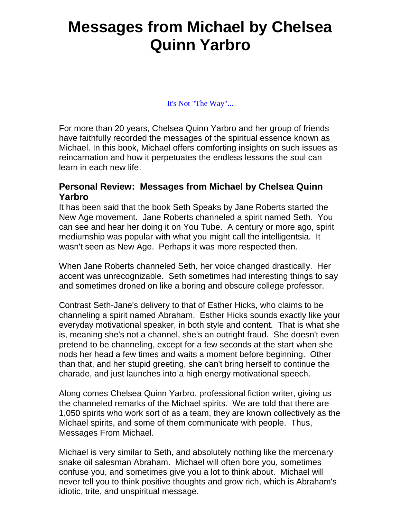## **Messages from Michael by Chelsea Quinn Yarbro**

[It's Not "The Way"...](http://www.amazon.com/gp/product/0425151069?ie=UTF8&tag=jrtvre-20&linkCode=as2&camp=1789&creative=9325&creativeASIN=0425151069)

For more than 20 years, Chelsea Quinn Yarbro and her group of friends have faithfully recorded the messages of the spiritual essence known as Michael. In this book, Michael offers comforting insights on such issues as reincarnation and how it perpetuates the endless lessons the soul can learn in each new life.

## **Personal Review: Messages from Michael by Chelsea Quinn Yarbro**

It has been said that the book Seth Speaks by Jane Roberts started the New Age movement. Jane Roberts channeled a spirit named Seth. You can see and hear her doing it on You Tube. A century or more ago, spirit mediumship was popular with what you might call the intelligentsia. It wasn't seen as New Age. Perhaps it was more respected then.

When Jane Roberts channeled Seth, her voice changed drastically. Her accent was unrecognizable. Seth sometimes had interesting things to say and sometimes droned on like a boring and obscure college professor.

Contrast Seth-Jane's delivery to that of Esther Hicks, who claims to be channeling a spirit named Abraham. Esther Hicks sounds exactly like your everyday motivational speaker, in both style and content. That is what she is, meaning she's not a channel, she's an outright fraud. She doesn't even pretend to be channeling, except for a few seconds at the start when she nods her head a few times and waits a moment before beginning. Other than that, and her stupid greeting, she can't bring herself to continue the charade, and just launches into a high energy motivational speech.

Along comes Chelsea Quinn Yarbro, professional fiction writer, giving us the channeled remarks of the Michael spirits. We are told that there are 1,050 spirits who work sort of as a team, they are known collectively as the Michael spirits, and some of them communicate with people. Thus, Messages From Michael.

Michael is very similar to Seth, and absolutely nothing like the mercenary snake oil salesman Abraham. Michael will often bore you, sometimes confuse you, and sometimes give you a lot to think about. Michael will never tell you to think positive thoughts and grow rich, which is Abraham's idiotic, trite, and unspiritual message.